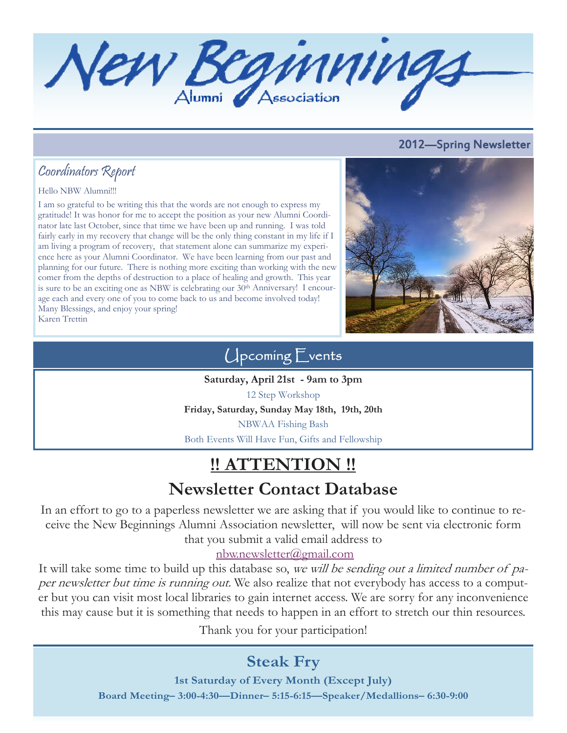New Beginnings

### 2012—Spring Newsletter

## Coordinators Report

#### Hello NBW Alumni!!!

I am so grateful to be writing this that the words are not enough to express my gratitude! It was honor for me to accept the position as your new Alumni Coordinator late last October, since that time we have been up and running. I was told fairly early in my recovery that change will be the only thing constant in my life if I am living a program of recovery, that statement alone can summarize my experience here as your Alumni Coordinator. We have been learning from our past and planning for our future. There is nothing more exciting than working with the new comer from the depths of destruction to a place of healing and growth. This year is sure to be an exciting one as NBW is celebrating our  $30<sup>th</sup>$  Anniversary! I encourage each and every one of you to come back to us and become involved today! Many Blessings, and enjoy your spring! Karen Trettin



## Upcoming Events

**Saturday, April 21st - 9am to 3pm**  12 Step Workshop **Friday, Saturday, Sunday May 18th, 19th, 20th**  NBWAA Fishing Bash Both Events Will Have Fun, Gifts and Fellowship

# **!! ATTENTION !! Newsletter Contact Database**

In an effort to go to a paperless newsletter we are asking that if you would like to continue to receive the New Beginnings Alumni Association newsletter, will now be sent via electronic form that you submit a valid email address to

nbw.newsletter@gmail.com

It will take some time to build up this database so, we will be sending out a limited number of paper newsletter but time is running out. We also realize that not everybody has access to a computer but you can visit most local libraries to gain internet access. We are sorry for any inconvenience this may cause but it is something that needs to happen in an effort to stretch our thin resources.

Thank you for your participation!

# **Steak Fry**

**1st Saturday of Every Month (Except July) Board Meeting– 3:00-4:30—Dinner– 5:15-6:15—Speaker/Medallions– 6:30-9:00**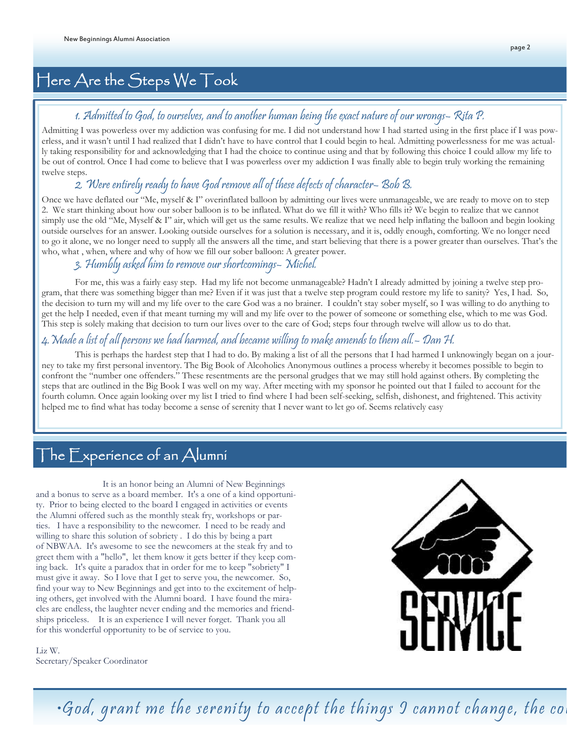# Here Are the Steps We Took

### 1. Admitted to God, to ourselves, and to another human being the exact nature of our wrongs– Rita P.

Admitting I was powerless over my addiction was confusing for me. I did not understand how I had started using in the first place if I was powerless, and it wasn't until I had realized that I didn't have to have control that I could begin to heal. Admitting powerlessness for me was actually taking responsibility for and acknowledging that I had the choice to continue using and that by following this choice I could allow my life to be out of control. Once I had come to believe that I was powerless over my addiction I was finally able to begin truly working the remaining twelve steps.

### 2. Were entirely ready to have God remove all of these defects of character– Bob B.

Once we have deflated our "Me, myself & I" overinflated balloon by admitting our lives were unmanageable, we are ready to move on to step 2. We start thinking about how our sober balloon is to be inflated. What do we fill it with? Who fills it? We begin to realize that we cannot simply use the old "Me, Myself & I" air, which will get us the same results. We realize that we need help inflating the balloon and begin looking outside ourselves for an answer. Looking outside ourselves for a solution is necessary, and it is, oddly enough, comforting. We no longer need to go it alone, we no longer need to supply all the answers all the time, and start believing that there is a power greater than ourselves. That's the who, what , when, where and why of how we fill our sober balloon: A greater power.

#### 3. Humbly asked him to remove our shortcomings– Michel.

 For me, this was a fairly easy step. Had my life not become unmanageable? Hadn't I already admitted by joining a twelve step program, that there was something bigger than me? Even if it was just that a twelve step program could restore my life to sanity? Yes, I had. So, the decision to turn my will and my life over to the care God was a no brainer. I couldn't stay sober myself, so I was willing to do anything to get the help I needed, even if that meant turning my will and my life over to the power of someone or something else, which to me was God. This step is solely making that decision to turn our lives over to the care of God; steps four through twelve will allow us to do that.

### 4.Made a list of all persons we had harmed, and became willing to make amends to them all.– Dan H.

 This is perhaps the hardest step that I had to do. By making a list of all the persons that I had harmed I unknowingly began on a journey to take my first personal inventory. The Big Book of Alcoholics Anonymous outlines a process whereby it becomes possible to begin to confront the "number one offenders." These resentments are the personal grudges that we may still hold against others. By completing the steps that are outlined in the Big Book I was well on my way. After meeting with my sponsor he pointed out that I failed to account for the fourth column. Once again looking over my list I tried to find where I had been self-seeking, selfish, dishonest, and frightened. This activity helped me to find what has today become a sense of serenity that I never want to let go of. Seems relatively easy

# The  $\mathsf{\mathsf{F}}$ xperience of an Alumni

It is an honor being an Alumni of New Beginnings and a bonus to serve as a board member. It's a one of a kind opportunity. Prior to being elected to the board I engaged in activities or events the Alumni offered such as the monthly steak fry, workshops or parties. I have a responsibility to the newcomer. I need to be ready and willing to share this solution of sobriety . I do this by being a part of NBWAA. It's awesome to see the newcomers at the steak fry and to greet them with a "hello", let them know it gets better if they keep coming back. It's quite a paradox that in order for me to keep "sobriety" I must give it away. So I love that I get to serve you, the newcomer. So, find your way to New Beginnings and get into to the excitement of helping others, get involved with the Alumni board. I have found the miracles are endless, the laughter never ending and the memories and friendships priceless. It is an experience I will never forget. Thank you all for this wonderful opportunity to be of service to you.



Liz W. Secretary/Speaker Coordinator

 $\cdot$ God, grant me the serenity to accept the things  $\it 9$  cannot change, the co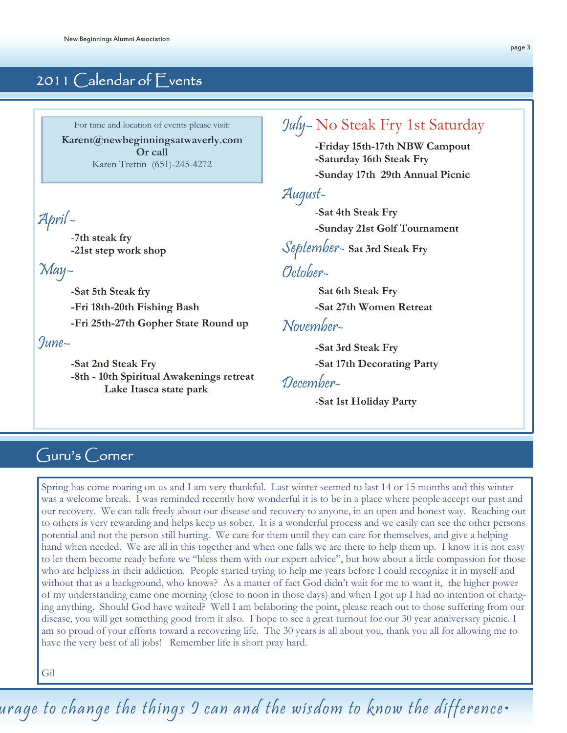### 2011 Calendar of Events

For time and location of events please visit: **Karent@newbeginningsatwaverly.com Or call**  Karen Trettin (651)-245-4272

April -

-**7th steak fry -21st step work shop**

May–

**-Sat 5th Steak fry -Fri 18th-20th Fishing Bash -Fri 25th-27th Gopher State Round up** 

June–

**-Sat 2nd Steak Fry -8th - 10th Spiritual Awakenings retreat Lake Itasca state park** 

### July– No Steak Fry 1st Saturday

**-Friday 15th-17th NBW Campout -Saturday 16th Steak Fry** 

 **-Sunday 17th 29th Annual Picnic**

August-

 -**Sat 4th Steak Fry -Sunday 21st Golf Tournament**

September- **Sat 3rd Steak Fry**

### October-

-**Sat 6th Steak Fry -Sat 27th Women Retreat**

November-

**-Sat 3rd Steak Fry -Sat 17th Decorating Party**

December-

-**Sat 1st Holiday Party**

### Guru's Corner

Spring has come roaring on us and I am very thankful. Last winter seemed to last 14 or 15 months and this winter was a welcome break. I was reminded recently how wonderful it is to be in a place where people accept our past and our recovery. We can talk freely about our disease and recovery to anyone, in an open and honest way. Reaching out to others is very rewarding and helps keep us sober. It is a wonderful process and we easily can see the other persons potential and not the person still hurting. We care for them until they can care for themselves, and give a helping hand when needed. We are all in this together and when one falls we are there to help them up. I know it is not easy to let them become ready before we "bless them with our expert advice", but how about a little compassion for those who are helpless in their addiction. People started trying to help me years before I could recognize it in myself and without that as a background, who knows? As a matter of fact God didn't wait for me to want it, the higher power of my understanding came one morning (close to noon in those days) and when I got up I had no intention of changing anything. Should God have waited? Well I am belaboring the point, please reach out to those suffering from our disease, you will get something good from it also. I hope to see a great turnout for our 30 year anniversary picnic. I am so proud of your efforts toward a recovering life. The 30 years is all about you, thank you all for allowing me to have the very best of all jobs! Remember life is short pray hard.

Gil

urage to change the things I can and the wisdom to know the difference•